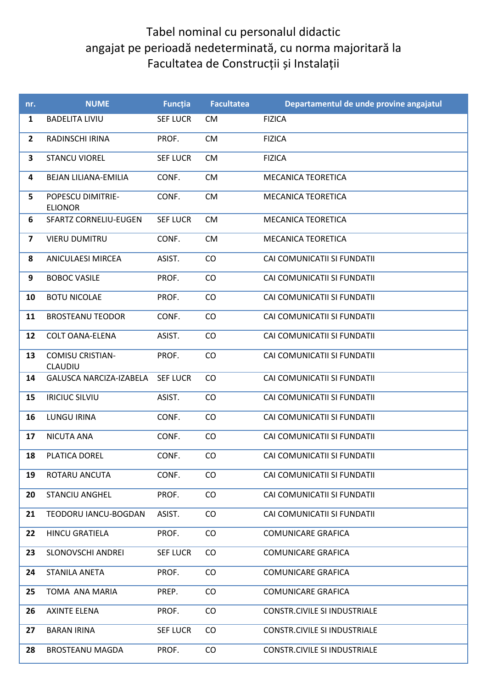## Tabel nominal cu personalul didactic angajat pe perioadă nedeterminată, cu norma majoritară la Facultatea de Construcții și Instalații

| nr.                     | <b>NUME</b>                         | <b>Funcția</b>  | <b>Facultatea</b> | Departamentul de unde provine angajatul |
|-------------------------|-------------------------------------|-----------------|-------------------|-----------------------------------------|
| $\mathbf{1}$            | <b>BADELITA LIVIU</b>               | <b>SEF LUCR</b> | <b>CM</b>         | <b>FIZICA</b>                           |
| $\overline{2}$          | RADINSCHI IRINA                     | PROF.           | <b>CM</b>         | <b>FIZICA</b>                           |
| $\overline{\mathbf{3}}$ | <b>STANCU VIOREL</b>                | <b>SEF LUCR</b> | <b>CM</b>         | <b>FIZICA</b>                           |
| 4                       | BEJAN LILIANA-EMILIA                | CONF.           | <b>CM</b>         | <b>MECANICA TEORETICA</b>               |
| 5                       | POPESCU DIMITRIE-<br><b>ELIONOR</b> | CONF.           | <b>CM</b>         | <b>MECANICA TEORETICA</b>               |
| 6                       | <b>SFARTZ CORNELIU-EUGEN</b>        | <b>SEF LUCR</b> | <b>CM</b>         | <b>MECANICA TEORETICA</b>               |
| 7                       | <b>VIERU DUMITRU</b>                | CONF.           | <b>CM</b>         | <b>MECANICA TEORETICA</b>               |
| 8                       | <b>ANICULAESI MIRCEA</b>            | ASIST.          | CO                | CAI COMUNICATII SI FUNDATII             |
| 9                       | <b>BOBOC VASILE</b>                 | PROF.           | CO                | CAI COMUNICATII SI FUNDATII             |
| 10                      | <b>BOTU NICOLAE</b>                 | PROF.           | CO                | CAI COMUNICATII SI FUNDATII             |
| 11                      | <b>BROSTEANU TEODOR</b>             | CONF.           | CO                | CAI COMUNICATII SI FUNDATII             |
| 12                      | <b>COLT OANA-ELENA</b>              | ASIST.          | CO                | CAI COMUNICATII SI FUNDATII             |
| 13                      | <b>COMISU CRISTIAN-</b><br>CLAUDIU  | PROF.           | CO                | CAI COMUNICATII SI FUNDATII             |
| 14                      | <b>GALUSCA NARCIZA-IZABELA</b>      | <b>SEF LUCR</b> | CO                | CAI COMUNICATII SI FUNDATII             |
| 15                      | <b>IRICIUC SILVIU</b>               | ASIST.          | CO                | CAI COMUNICATII SI FUNDATII             |
| 16                      | <b>LUNGU IRINA</b>                  | CONF.           | CO                | CAI COMUNICATII SI FUNDATII             |
| 17                      | <b>NICUTA ANA</b>                   | CONF.           | CO                | CAI COMUNICATII SI FUNDATII             |
| 18                      | PLATICA DOREL                       | CONF.           | CO                | CAI COMUNICATII SI FUNDATII             |
| 19                      | ROTARU ANCUTA                       | CONF.           | CO                | CAI COMUNICATII SI FUNDATII             |
| 20                      | <b>STANCIU ANGHEL</b>               | PROF.           | CO                | CAI COMUNICATII SI FUNDATII             |
| 21                      | TEODORU IANCU-BOGDAN                | ASIST.          | $\rm CO$          | CAI COMUNICATII SI FUNDATII             |
| 22                      | <b>HINCU GRATIELA</b>               | PROF.           | $\rm CO$          | <b>COMUNICARE GRAFICA</b>               |
| 23                      | SLONOVSCHI ANDREI                   | <b>SEF LUCR</b> | $\rm CO$          | <b>COMUNICARE GRAFICA</b>               |
| 24                      | STANILA ANETA                       | PROF.           | $\rm CO$          | <b>COMUNICARE GRAFICA</b>               |
| 25                      | TOMA ANA MARIA                      | PREP.           | $\rm CO$          | <b>COMUNICARE GRAFICA</b>               |
| 26                      | <b>AXINTE ELENA</b>                 | PROF.           | $\rm CO$          | <b>CONSTR.CIVILE SI INDUSTRIALE</b>     |
| 27                      | <b>BARAN IRINA</b>                  | <b>SEF LUCR</b> | $\rm CO$          | <b>CONSTR.CIVILE SI INDUSTRIALE</b>     |
| 28                      | <b>BROSTEANU MAGDA</b>              | PROF.           | CO                | <b>CONSTR.CIVILE SI INDUSTRIALE</b>     |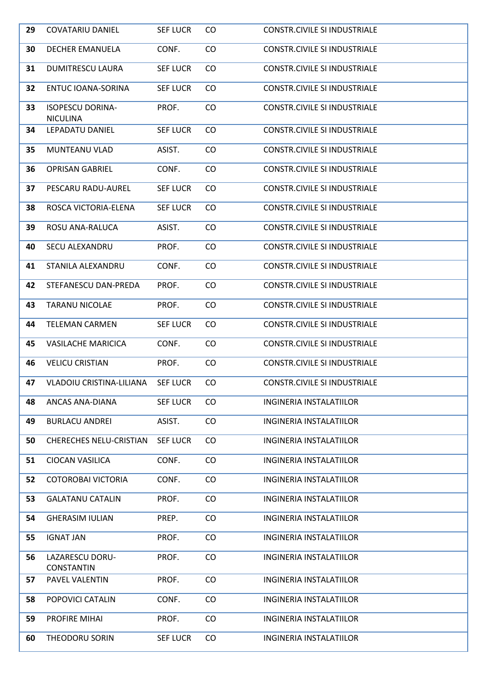| 29 | <b>COVATARIU DANIEL</b>                    | <b>SEF LUCR</b> | CO.      | <b>CONSTR.CIVILE SI INDUSTRIALE</b> |
|----|--------------------------------------------|-----------------|----------|-------------------------------------|
| 30 | <b>DECHER EMANUELA</b>                     | CONF.           | CO       | <b>CONSTR.CIVILE SI INDUSTRIALE</b> |
| 31 | <b>DUMITRESCU LAURA</b>                    | <b>SEF LUCR</b> | CO       | <b>CONSTR.CIVILE SI INDUSTRIALE</b> |
| 32 | ENTUC IOANA-SORINA                         | <b>SEF LUCR</b> | CO       | <b>CONSTR.CIVILE SI INDUSTRIALE</b> |
| 33 | <b>ISOPESCU DORINA-</b><br><b>NICULINA</b> | PROF.           | CO       | <b>CONSTR.CIVILE SI INDUSTRIALE</b> |
| 34 | LEPADATU DANIEL                            | <b>SEF LUCR</b> | CO       | <b>CONSTR.CIVILE SI INDUSTRIALE</b> |
| 35 | MUNTEANU VLAD                              | ASIST.          | CO       | <b>CONSTR.CIVILE SI INDUSTRIALE</b> |
| 36 | <b>OPRISAN GABRIEL</b>                     | CONF.           | CO       | <b>CONSTR.CIVILE SI INDUSTRIALE</b> |
| 37 | PESCARU RADU-AUREL                         | <b>SEF LUCR</b> | CO       | <b>CONSTR.CIVILE SI INDUSTRIALE</b> |
| 38 | ROSCA VICTORIA-ELENA                       | <b>SEF LUCR</b> | CO       | <b>CONSTR.CIVILE SI INDUSTRIALE</b> |
| 39 | ROSU ANA-RALUCA                            | ASIST.          | CO       | <b>CONSTR.CIVILE SI INDUSTRIALE</b> |
| 40 | SECU ALEXANDRU                             | PROF.           | CO       | <b>CONSTR.CIVILE SI INDUSTRIALE</b> |
| 41 | STANILA ALEXANDRU                          | CONF.           | CO       | <b>CONSTR.CIVILE SI INDUSTRIALE</b> |
| 42 | STEFANESCU DAN-PREDA                       | PROF.           | $\rm CO$ | <b>CONSTR.CIVILE SI INDUSTRIALE</b> |
| 43 | <b>TARANU NICOLAE</b>                      | PROF.           | $\rm CO$ | <b>CONSTR.CIVILE SI INDUSTRIALE</b> |
| 44 | <b>TELEMAN CARMEN</b>                      | <b>SEF LUCR</b> | $\rm CO$ | <b>CONSTR.CIVILE SI INDUSTRIALE</b> |
| 45 | <b>VASILACHE MARICICA</b>                  | CONF.           | $\rm CO$ | <b>CONSTR.CIVILE SI INDUSTRIALE</b> |
| 46 | <b>VELICU CRISTIAN</b>                     | PROF.           | CO       | <b>CONSTR.CIVILE SI INDUSTRIALE</b> |
| 47 | <b>VLADOIU CRISTINA-LILIANA</b>            | <b>SEF LUCR</b> | CO       | <b>CONSTR.CIVILE SI INDUSTRIALE</b> |
| 48 | ANCAS ANA-DIANA                            | <b>SEF LUCR</b> | CO       | <b>INGINERIA INSTALATIILOR</b>      |
| 49 | <b>BURLACU ANDREI</b>                      | ASIST.          | CO       | INGINERIA INSTALATIILOR             |
| 50 | <b>CHERECHES NELU-CRISTIAN</b>             | <b>SEF LUCR</b> | CO       | <b>INGINERIA INSTALATIILOR</b>      |
| 51 | <b>CIOCAN VASILICA</b>                     | CONF.           | CO       | <b>INGINERIA INSTALATIILOR</b>      |
| 52 | <b>COTOROBAI VICTORIA</b>                  | CONF.           | CO       | <b>INGINERIA INSTALATIILOR</b>      |
| 53 | <b>GALATANU CATALIN</b>                    | PROF.           | $\rm CO$ | INGINERIA INSTALATIILOR             |
| 54 | <b>GHERASIM IULIAN</b>                     | PREP.           | $\rm CO$ | INGINERIA INSTALATIILOR             |
| 55 | <b>IGNAT JAN</b>                           | PROF.           | $\rm CO$ | INGINERIA INSTALATIILOR             |
| 56 | LAZARESCU DORU-<br><b>CONSTANTIN</b>       | PROF.           | CO       | <b>INGINERIA INSTALATIILOR</b>      |
| 57 | PAVEL VALENTIN                             | PROF.           | $\rm CO$ | INGINERIA INSTALATIILOR             |
| 58 | POPOVICI CATALIN                           | CONF.           | CO       | INGINERIA INSTALATIILOR             |
| 59 | PROFIRE MIHAI                              | PROF.           | $\rm CO$ | <b>INGINERIA INSTALATIILOR</b>      |
| 60 | THEODORU SORIN                             | <b>SEF LUCR</b> | CO       | <b>INGINERIA INSTALATIILOR</b>      |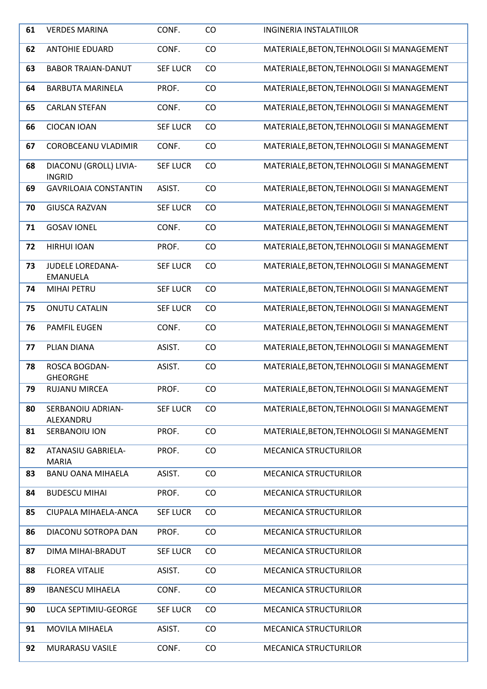| 61 | <b>VERDES MARINA</b>                       | CONF.           | CO       | <b>INGINERIA INSTALATIILOR</b>             |
|----|--------------------------------------------|-----------------|----------|--------------------------------------------|
| 62 | <b>ANTOHIE EDUARD</b>                      | CONF.           | CO       | MATERIALE, BETON, TEHNOLOGII SI MANAGEMENT |
| 63 | <b>BABOR TRAIAN-DANUT</b>                  | <b>SEF LUCR</b> | CO       | MATERIALE, BETON, TEHNOLOGII SI MANAGEMENT |
| 64 | <b>BARBUTA MARINELA</b>                    | PROF.           | CO       | MATERIALE, BETON, TEHNOLOGII SI MANAGEMENT |
| 65 | <b>CARLAN STEFAN</b>                       | CONF.           | CO       | MATERIALE, BETON, TEHNOLOGII SI MANAGEMENT |
| 66 | <b>CIOCAN IOAN</b>                         | <b>SEF LUCR</b> | CO       | MATERIALE, BETON, TEHNOLOGII SI MANAGEMENT |
| 67 | COROBCEANU VLADIMIR                        | CONF.           | CO       | MATERIALE, BETON, TEHNOLOGII SI MANAGEMENT |
| 68 | DIACONU (GROLL) LIVIA-<br><b>INGRID</b>    | <b>SEF LUCR</b> | CO       | MATERIALE, BETON, TEHNOLOGII SI MANAGEMENT |
| 69 | <b>GAVRILOAIA CONSTANTIN</b>               | ASIST.          | CO       | MATERIALE, BETON, TEHNOLOGII SI MANAGEMENT |
| 70 | <b>GIUSCA RAZVAN</b>                       | <b>SEF LUCR</b> | CO       | MATERIALE, BETON, TEHNOLOGII SI MANAGEMENT |
| 71 | <b>GOSAV IONEL</b>                         | CONF.           | CO       | MATERIALE, BETON, TEHNOLOGII SI MANAGEMENT |
| 72 | <b>HIRHUI IOAN</b>                         | PROF.           | CO       | MATERIALE, BETON, TEHNOLOGII SI MANAGEMENT |
| 73 | <b>JUDELE LOREDANA-</b><br><b>EMANUELA</b> | <b>SEF LUCR</b> | CO       | MATERIALE, BETON, TEHNOLOGII SI MANAGEMENT |
| 74 | MIHAI PETRU                                | <b>SEF LUCR</b> | CO       | MATERIALE, BETON, TEHNOLOGII SI MANAGEMENT |
| 75 | <b>ONUTU CATALIN</b>                       | <b>SEF LUCR</b> | CO       | MATERIALE, BETON, TEHNOLOGII SI MANAGEMENT |
| 76 | <b>PAMFIL EUGEN</b>                        | CONF.           | CO       | MATERIALE, BETON, TEHNOLOGII SI MANAGEMENT |
| 77 | PLIAN DIANA                                | ASIST.          | CO       | MATERIALE, BETON, TEHNOLOGII SI MANAGEMENT |
| 78 | ROSCA BOGDAN-<br><b>GHEORGHE</b>           | ASIST.          | CO       | MATERIALE, BETON, TEHNOLOGII SI MANAGEMENT |
| 79 | RUJANU MIRCEA                              | PROF.           | CO       | MATERIALE, BETON, TEHNOLOGII SI MANAGEMENT |
| 80 | SERBANOIU ADRIAN-<br>ALEXANDRU             | <b>SEF LUCR</b> | CO       | MATERIALE, BETON, TEHNOLOGII SI MANAGEMENT |
| 81 | SERBANOIU ION                              | PROF.           | $\rm CO$ | MATERIALE, BETON, TEHNOLOGII SI MANAGEMENT |
| 82 | <b>ATANASIU GABRIELA-</b><br><b>MARIA</b>  | PROF.           | CO       | <b>MECANICA STRUCTURILOR</b>               |
| 83 | <b>BANU OANA MIHAELA</b>                   | ASIST.          | CO       | <b>MECANICA STRUCTURILOR</b>               |
| 84 | <b>BUDESCU MIHAI</b>                       | PROF.           | CO       | <b>MECANICA STRUCTURILOR</b>               |
| 85 | CIUPALA MIHAELA-ANCA                       | <b>SEF LUCR</b> | CO       | <b>MECANICA STRUCTURILOR</b>               |
| 86 | DIACONU SOTROPA DAN                        | PROF.           | CO       | <b>MECANICA STRUCTURILOR</b>               |
| 87 | DIMA MIHAI-BRADUT                          | <b>SEF LUCR</b> | CO       | <b>MECANICA STRUCTURILOR</b>               |
| 88 | <b>FLOREA VITALIE</b>                      | ASIST.          | CO       | <b>MECANICA STRUCTURILOR</b>               |
| 89 | <b>IBANESCU MIHAELA</b>                    | CONF.           | CO       | <b>MECANICA STRUCTURILOR</b>               |
| 90 | LUCA SEPTIMIU-GEORGE                       | <b>SEF LUCR</b> | CO       | MECANICA STRUCTURILOR                      |
| 91 | MOVILA MIHAELA                             | ASIST.          | CO       | <b>MECANICA STRUCTURILOR</b>               |
| 92 | MURARASU VASILE                            | CONF.           | CO       | <b>MECANICA STRUCTURILOR</b>               |